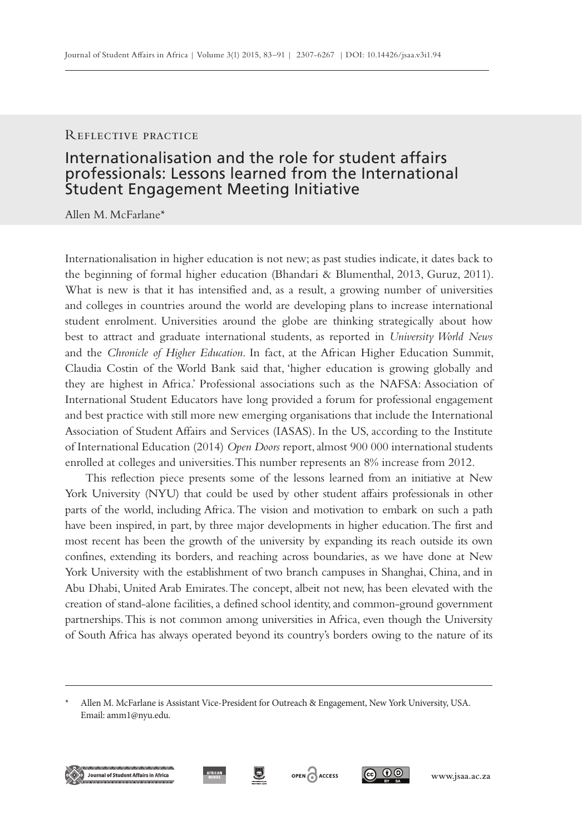#### Reflective practice

# Internationalisation and the role for student affairs professionals: Lessons learned from the International Student Engagement Meeting Initiative

Allen M. McFarlane\*

Internationalisation in higher education is not new; as past studies indicate, it dates back to the beginning of formal higher education (Bhandari & Blumenthal, 2013, Guruz, 2011). What is new is that it has intensified and, as a result, a growing number of universities and colleges in countries around the world are developing plans to increase international student enrolment. Universities around the globe are thinking strategically about how best to attract and graduate international students, as reported in *University World News*  and the *Chronicle of Higher Education*. In fact, at the African Higher Education Summit, Claudia Costin of the World Bank said that, 'higher education is growing globally and they are highest in Africa.' Professional associations such as the NAFSA: Association of International Student Educators have long provided a forum for professional engagement and best practice with still more new emerging organisations that include the International Association of Student Affairs and Services (IASAS). In the US, according to the Institute of International Education (2014) *Open Doors* report, almost 900 000 international students enrolled at colleges and universities. This number represents an 8% increase from 2012.

This reflection piece presents some of the lessons learned from an initiative at New York University (NYU) that could be used by other student affairs professionals in other parts of the world, including Africa. The vision and motivation to embark on such a path have been inspired, in part, by three major developments in higher education. The first and most recent has been the growth of the university by expanding its reach outside its own confines, extending its borders, and reaching across boundaries, as we have done at New York University with the establishment of two branch campuses in Shanghai, China, and in Abu Dhabi, United Arab Emirates. The concept, albeit not new, has been elevated with the creation of stand-alone facilities, a defined school identity, and common-ground government partnerships. This is not common among universities in Africa, even though the University of South Africa has always operated beyond its country's borders owing to the nature of its









Allen M. McFarlane is Assistant Vice-President for Outreach & Engagement, New York University, USA. Email: amm1@nyu.edu.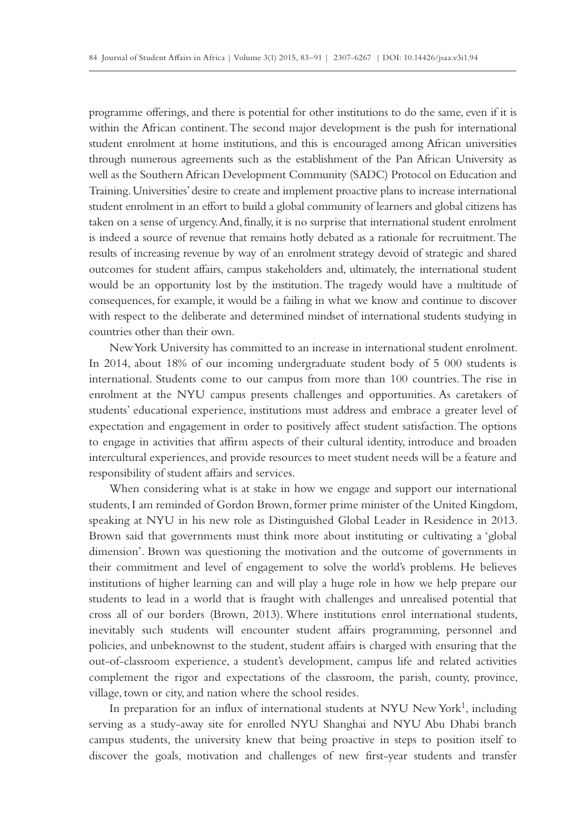programme offerings, and there is potential for other institutions to do the same, even if it is within the African continent. The second major development is the push for international student enrolment at home institutions, and this is encouraged among African universities through numerous agreements such as the establishment of the Pan African University as well as the Southern African Development Community (SADC) Protocol on Education and Training. Universities' desire to create and implement proactive plans to increase international student enrolment in an effort to build a global community of learners and global citizens has taken on a sense of urgency. And, finally, it is no surprise that international student enrolment is indeed a source of revenue that remains hotly debated as a rationale for recruitment. The results of increasing revenue by way of an enrolment strategy devoid of strategic and shared outcomes for student affairs, campus stakeholders and, ultimately, the international student would be an opportunity lost by the institution. The tragedy would have a multitude of consequences, for example, it would be a failing in what we know and continue to discover with respect to the deliberate and determined mindset of international students studying in countries other than their own.

New York University has committed to an increase in international student enrolment. In 2014, about 18% of our incoming undergraduate student body of 5 000 students is international. Students come to our campus from more than 100 countries. The rise in enrolment at the NYU campus presents challenges and opportunities. As caretakers of students' educational experience, institutions must address and embrace a greater level of expectation and engagement in order to positively affect student satisfaction. The options to engage in activities that affirm aspects of their cultural identity, introduce and broaden intercultural experiences, and provide resources to meet student needs will be a feature and responsibility of student affairs and services.

When considering what is at stake in how we engage and support our international students, I am reminded of Gordon Brown, former prime minister of the United Kingdom, speaking at NYU in his new role as Distinguished Global Leader in Residence in 2013. Brown said that governments must think more about instituting or cultivating a 'global dimension'. Brown was questioning the motivation and the outcome of governments in their commitment and level of engagement to solve the world's problems. He believes institutions of higher learning can and will play a huge role in how we help prepare our students to lead in a world that is fraught with challenges and unrealised potential that cross all of our borders (Brown, 2013). Where institutions enrol international students, inevitably such students will encounter student affairs programming, personnel and policies, and unbeknownst to the student, student affairs is charged with ensuring that the out-of-classroom experience, a student's development, campus life and related activities complement the rigor and expectations of the classroom, the parish, county, province, village, town or city, and nation where the school resides.

In preparation for an influx of international students at NYU New York<sup>1</sup>, including serving as a study-away site for enrolled NYU Shanghai and NYU Abu Dhabi branch campus students, the university knew that being proactive in steps to position itself to discover the goals, motivation and challenges of new first-year students and transfer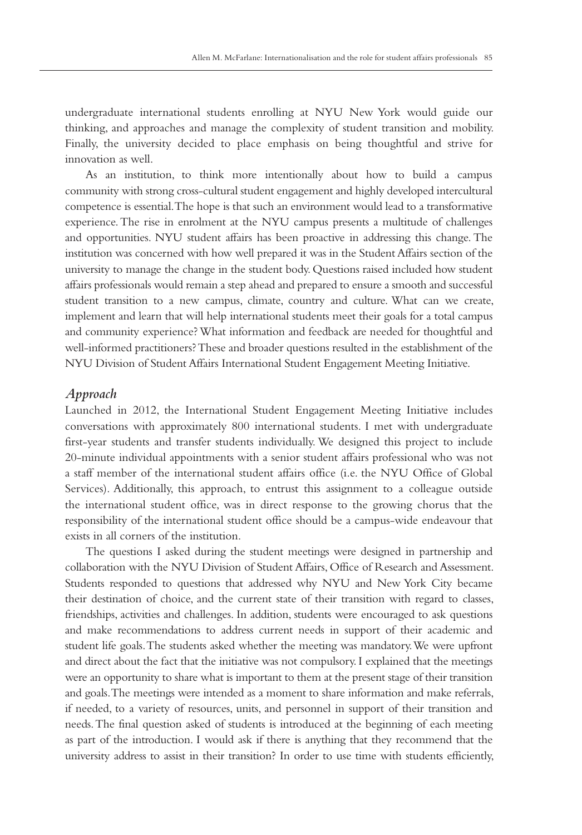undergraduate international students enrolling at NYU New York would guide our thinking, and approaches and manage the complexity of student transition and mobility. Finally, the university decided to place emphasis on being thoughtful and strive for innovation as well.

As an institution, to think more intentionally about how to build a campus community with strong cross-cultural student engagement and highly developed intercultural competence is essential. The hope is that such an environment would lead to a transformative experience. The rise in enrolment at the NYU campus presents a multitude of challenges and opportunities. NYU student affairs has been proactive in addressing this change. The institution was concerned with how well prepared it was in the Student Affairs section of the university to manage the change in the student body. Questions raised included how student affairs professionals would remain a step ahead and prepared to ensure a smooth and successful student transition to a new campus, climate, country and culture. What can we create, implement and learn that will help international students meet their goals for a total campus and community experience? What information and feedback are needed for thoughtful and well-informed practitioners? These and broader questions resulted in the establishment of the NYU Division of Student Affairs International Student Engagement Meeting Initiative.

## *Approach*

Launched in 2012, the International Student Engagement Meeting Initiative includes conversations with approximately 800 international students. I met with undergraduate first-year students and transfer students individually. We designed this project to include 20-minute individual appointments with a senior student affairs professional who was not a staff member of the international student affairs office (i.e. the NYU Office of Global Services). Additionally, this approach, to entrust this assignment to a colleague outside the international student office, was in direct response to the growing chorus that the responsibility of the international student office should be a campus-wide endeavour that exists in all corners of the institution.

The questions I asked during the student meetings were designed in partnership and collaboration with the NYU Division of Student Affairs, Office of Research and Assessment. Students responded to questions that addressed why NYU and New York City became their destination of choice, and the current state of their transition with regard to classes, friendships, activities and challenges. In addition, students were encouraged to ask questions and make recommendations to address current needs in support of their academic and student life goals. The students asked whether the meeting was mandatory. We were upfront and direct about the fact that the initiative was not compulsory. I explained that the meetings were an opportunity to share what is important to them at the present stage of their transition and goals. The meetings were intended as a moment to share information and make referrals, if needed, to a variety of resources, units, and personnel in support of their transition and needs. The final question asked of students is introduced at the beginning of each meeting as part of the introduction. I would ask if there is anything that they recommend that the university address to assist in their transition? In order to use time with students efficiently,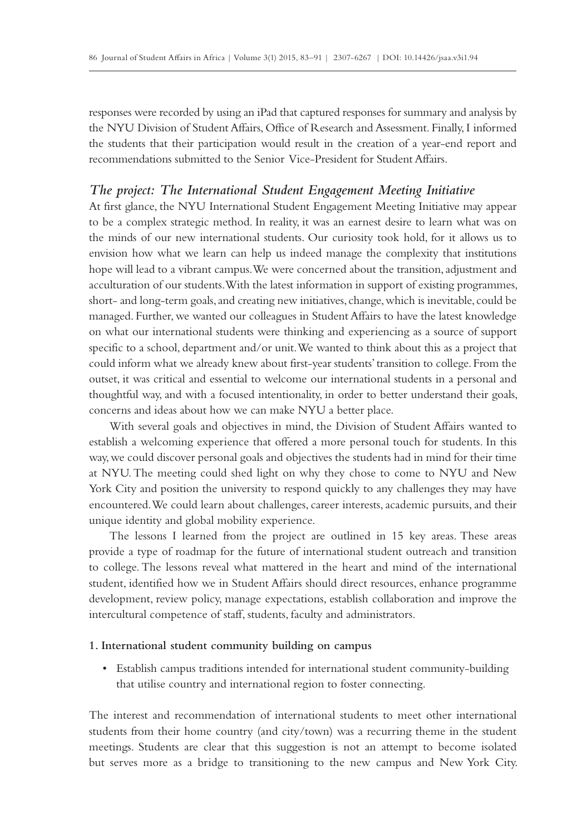responses were recorded by using an iPad that captured responses for summary and analysis by the NYU Division of Student Affairs, Office of Research and Assessment. Finally, I informed the students that their participation would result in the creation of a year-end report and recommendations submitted to the Senior Vice-President for Student Affairs.

## *The project: The International Student Engagement Meeting Initiative*

At first glance, the NYU International Student Engagement Meeting Initiative may appear to be a complex strategic method. In reality, it was an earnest desire to learn what was on the minds of our new international students. Our curiosity took hold, for it allows us to envision how what we learn can help us indeed manage the complexity that institutions hope will lead to a vibrant campus. We were concerned about the transition, adjustment and acculturation of our students. With the latest information in support of existing programmes, short- and long-term goals, and creating new initiatives, change, which is inevitable, could be managed. Further, we wanted our colleagues in Student Affairs to have the latest knowledge on what our international students were thinking and experiencing as a source of support specific to a school, department and/or unit. We wanted to think about this as a project that could inform what we already knew about first-year students' transition to college. From the outset, it was critical and essential to welcome our international students in a personal and thoughtful way, and with a focused intentionality, in order to better understand their goals, concerns and ideas about how we can make NYU a better place.

With several goals and objectives in mind, the Division of Student Affairs wanted to establish a welcoming experience that offered a more personal touch for students. In this way, we could discover personal goals and objectives the students had in mind for their time at NYU. The meeting could shed light on why they chose to come to NYU and New York City and position the university to respond quickly to any challenges they may have encountered. We could learn about challenges, career interests, academic pursuits, and their unique identity and global mobility experience.

The lessons I learned from the project are outlined in 15 key areas. These areas provide a type of roadmap for the future of international student outreach and transition to college. The lessons reveal what mattered in the heart and mind of the international student, identified how we in Student Affairs should direct resources, enhance programme development, review policy, manage expectations, establish collaboration and improve the intercultural competence of staff, students, faculty and administrators.

#### **1. International student community building on campus**

• Establish campus traditions intended for international student community-building that utilise country and international region to foster connecting.

The interest and recommendation of international students to meet other international students from their home country (and city/town) was a recurring theme in the student meetings. Students are clear that this suggestion is not an attempt to become isolated but serves more as a bridge to transitioning to the new campus and New York City.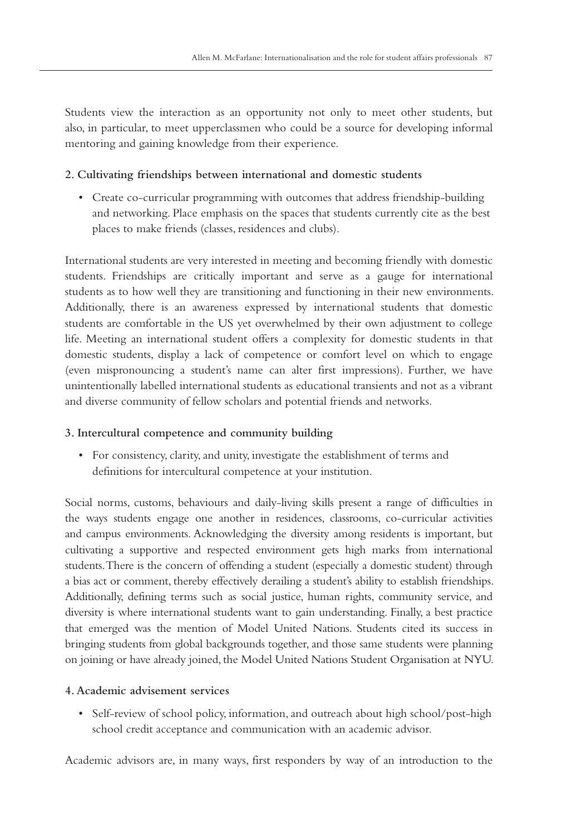Students view the interaction as an opportunity not only to meet other students, but also, in particular, to meet upperclassmen who could be a source for developing informal mentoring and gaining knowledge from their experience.

## **2. Cultivating friendships between international and domestic students**

• Create co-curricular programming with outcomes that address friendship-building and networking. Place emphasis on the spaces that students currently cite as the best places to make friends (classes, residences and clubs).

International students are very interested in meeting and becoming friendly with domestic students. Friendships are critically important and serve as a gauge for international students as to how well they are transitioning and functioning in their new environments. Additionally, there is an awareness expressed by international students that domestic students are comfortable in the US yet overwhelmed by their own adjustment to college life. Meeting an international student offers a complexity for domestic students in that domestic students, display a lack of competence or comfort level on which to engage (even mispronouncing a student's name can alter first impressions). Further, we have unintentionally labelled international students as educational transients and not as a vibrant and diverse community of fellow scholars and potential friends and networks.

#### **3. Intercultural competence and community building**

• For consistency, clarity, and unity, investigate the establishment of terms and definitions for intercultural competence at your institution.

Social norms, customs, behaviours and daily-living skills present a range of difficulties in the ways students engage one another in residences, classrooms, co-curricular activities and campus environments. Acknowledging the diversity among residents is important, but cultivating a supportive and respected environment gets high marks from international students. There is the concern of offending a student (especially a domestic student) through a bias act or comment, thereby effectively derailing a student's ability to establish friendships. Additionally, defining terms such as social justice, human rights, community service, and diversity is where international students want to gain understanding. Finally, a best practice that emerged was the mention of Model United Nations. Students cited its success in bringing students from global backgrounds together, and those same students were planning on joining or have already joined, the Model United Nations Student Organisation at NYU.

#### **4. Academic advisement services**

• Self-review of school policy, information, and outreach about high school/post-high school credit acceptance and communication with an academic advisor.

Academic advisors are, in many ways, first responders by way of an introduction to the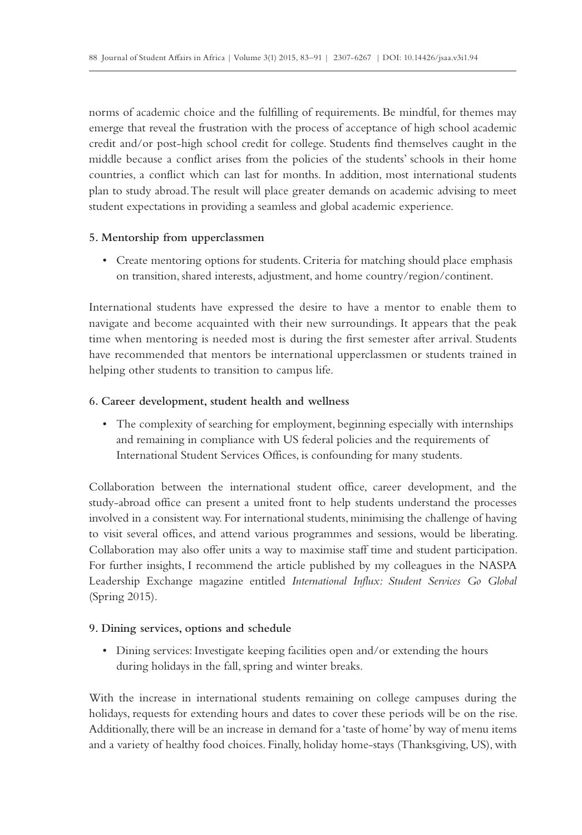norms of academic choice and the fulfilling of requirements. Be mindful, for themes may emerge that reveal the frustration with the process of acceptance of high school academic credit and/or post-high school credit for college. Students find themselves caught in the middle because a conflict arises from the policies of the students' schools in their home countries, a conflict which can last for months. In addition, most international students plan to study abroad. The result will place greater demands on academic advising to meet student expectations in providing a seamless and global academic experience.

#### **5. Mentorship from upperclassmen**

• Create mentoring options for students. Criteria for matching should place emphasis on transition, shared interests, adjustment, and home country/region/continent.

International students have expressed the desire to have a mentor to enable them to navigate and become acquainted with their new surroundings. It appears that the peak time when mentoring is needed most is during the first semester after arrival. Students have recommended that mentors be international upperclassmen or students trained in helping other students to transition to campus life.

#### **6. Career development, student health and wellness**

• The complexity of searching for employment, beginning especially with internships and remaining in compliance with US federal policies and the requirements of International Student Services Offices, is confounding for many students.

Collaboration between the international student office, career development, and the study-abroad office can present a united front to help students understand the processes involved in a consistent way. For international students, minimising the challenge of having to visit several offices, and attend various programmes and sessions, would be liberating. Collaboration may also offer units a way to maximise staff time and student participation. For further insights, I recommend the article published by my colleagues in the NASPA Leadership Exchange magazine entitled *International Influx: Student Services Go Global* (Spring 2015).

#### **9. Dining services, options and schedule**

• Dining services: Investigate keeping facilities open and/or extending the hours during holidays in the fall, spring and winter breaks.

With the increase in international students remaining on college campuses during the holidays, requests for extending hours and dates to cover these periods will be on the rise. Additionally, there will be an increase in demand for a 'taste of home' by way of menu items and a variety of healthy food choices. Finally, holiday home-stays (Thanksgiving, US), with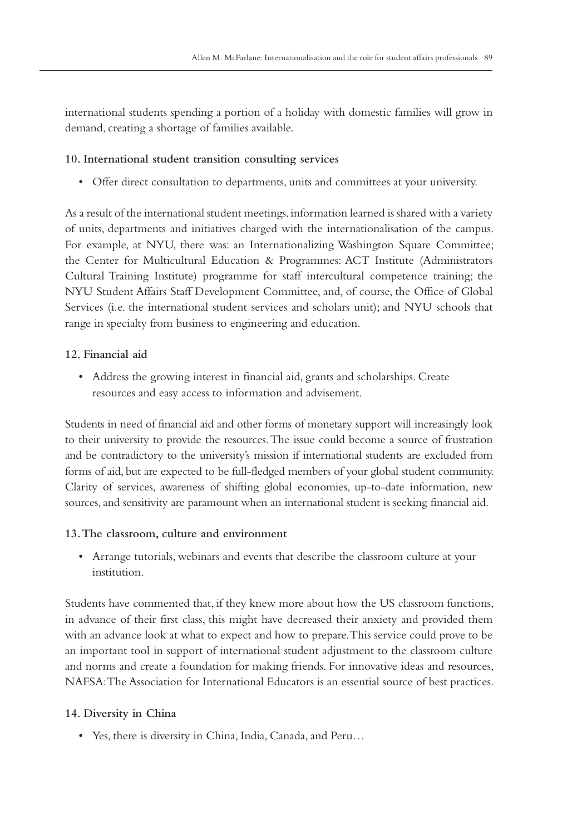international students spending a portion of a holiday with domestic families will grow in demand, creating a shortage of families available.

## **10. International student transition consulting services**

• Offer direct consultation to departments, units and committees at your university.

As a result of the international student meetings, information learned is shared with a variety of units, departments and initiatives charged with the internationalisation of the campus. For example, at NYU, there was: an Internationalizing Washington Square Committee; the Center for Multicultural Education & Programmes: ACT Institute (Administrators Cultural Training Institute) programme for staff intercultural competence training; the NYU Student Affairs Staff Development Committee, and, of course, the Office of Global Services (i.e. the international student services and scholars unit); and NYU schools that range in specialty from business to engineering and education.

# **12. Financial aid**

• Address the growing interest in financial aid, grants and scholarships. Create resources and easy access to information and advisement.

Students in need of financial aid and other forms of monetary support will increasingly look to their university to provide the resources. The issue could become a source of frustration and be contradictory to the university's mission if international students are excluded from forms of aid, but are expected to be full-fledged members of your global student community. Clarity of services, awareness of shifting global economies, up-to-date information, new sources, and sensitivity are paramount when an international student is seeking financial aid.

# **13. The classroom, culture and environment**

• Arrange tutorials, webinars and events that describe the classroom culture at your institution.

Students have commented that, if they knew more about how the US classroom functions, in advance of their first class, this might have decreased their anxiety and provided them with an advance look at what to expect and how to prepare. This service could prove to be an important tool in support of international student adjustment to the classroom culture and norms and create a foundation for making friends. For innovative ideas and resources, NAFSA: The Association for International Educators is an essential source of best practices.

# **14. Diversity in China**

• Yes, there is diversity in China, India, Canada, and Peru…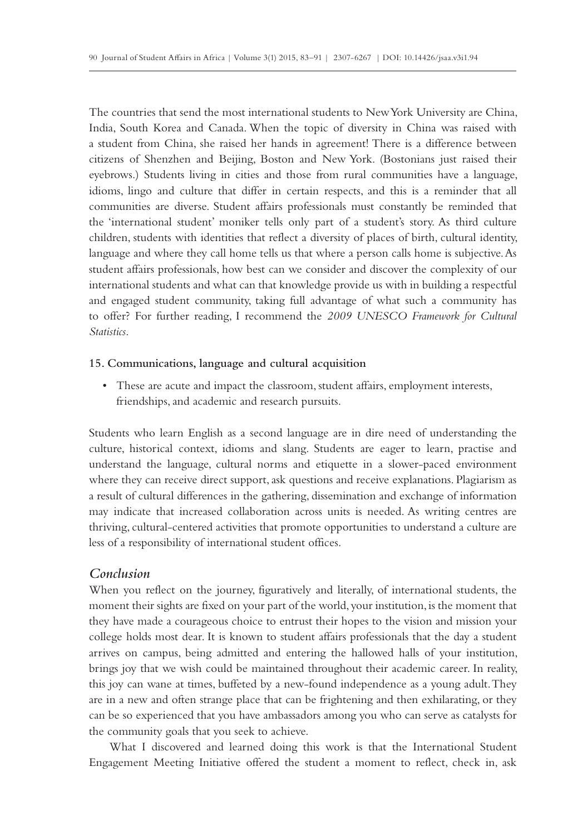The countries that send the most international students to New York University are China, India, South Korea and Canada. When the topic of diversity in China was raised with a student from China, she raised her hands in agreement! There is a difference between citizens of Shenzhen and Beijing, Boston and New York. (Bostonians just raised their eyebrows.) Students living in cities and those from rural communities have a language, idioms, lingo and culture that differ in certain respects, and this is a reminder that all communities are diverse. Student affairs professionals must constantly be reminded that the 'international student' moniker tells only part of a student's story. As third culture children, students with identities that reflect a diversity of places of birth, cultural identity, language and where they call home tells us that where a person calls home is subjective. As student affairs professionals, how best can we consider and discover the complexity of our international students and what can that knowledge provide us with in building a respectful and engaged student community, taking full advantage of what such a community has to offer? For further reading, I recommend the *2009 UNESCO Framework for Cultural Statistics*.

#### **15. Communications, language and cultural acquisition**

• These are acute and impact the classroom, student affairs, employment interests, friendships, and academic and research pursuits.

Students who learn English as a second language are in dire need of understanding the culture, historical context, idioms and slang. Students are eager to learn, practise and understand the language, cultural norms and etiquette in a slower-paced environment where they can receive direct support, ask questions and receive explanations. Plagiarism as a result of cultural differences in the gathering, dissemination and exchange of information may indicate that increased collaboration across units is needed. As writing centres are thriving, cultural-centered activities that promote opportunities to understand a culture are less of a responsibility of international student offices.

#### *Conclusion*

When you reflect on the journey, figuratively and literally, of international students, the moment their sights are fixed on your part of the world, your institution, is the moment that they have made a courageous choice to entrust their hopes to the vision and mission your college holds most dear. It is known to student affairs professionals that the day a student arrives on campus, being admitted and entering the hallowed halls of your institution, brings joy that we wish could be maintained throughout their academic career. In reality, this joy can wane at times, buffeted by a new-found independence as a young adult. They are in a new and often strange place that can be frightening and then exhilarating, or they can be so experienced that you have ambassadors among you who can serve as catalysts for the community goals that you seek to achieve.

What I discovered and learned doing this work is that the International Student Engagement Meeting Initiative offered the student a moment to reflect, check in, ask